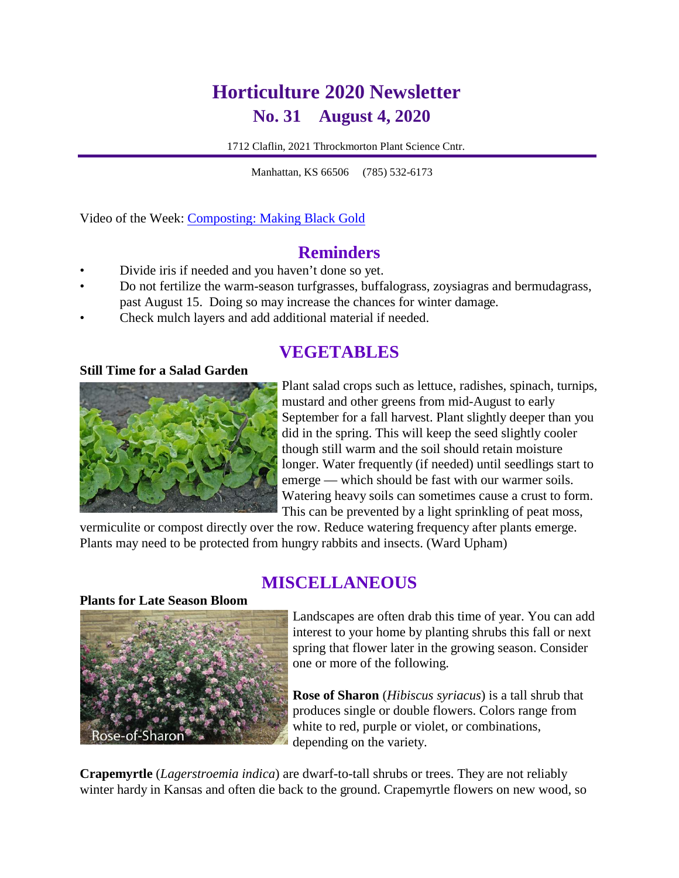# **Horticulture 2020 Newsletter No. 31 August 4, 2020**

1712 Claflin, 2021 Throckmorton Plant Science Cntr.

Ĩ Manhattan, KS 66506 (785) 532-6173

Video of the Week: [Composting: Making Black Gold](https://kansashealthyyards.org/all-videos/video/composting-making-black-gold)

### **Reminders**

- Divide iris if needed and you haven't done so yet.
- Do not fertilize the warm-season turfgrasses, buffalograss, zoysiagras and bermudagrass, past August 15. Doing so may increase the chances for winter damage.
- Check mulch layers and add additional material if needed.

# **VEGETABLES**

#### **Still Time for a Salad Garden**



Plant salad crops such as lettuce, radishes, spinach, turnips, mustard and other greens from mid-August to early September for a fall harvest. Plant slightly deeper than you did in the spring. This will keep the seed slightly cooler though still warm and the soil should retain moisture longer. Water frequently (if needed) until seedlings start to emerge — which should be fast with our warmer soils. Watering heavy soils can sometimes cause a crust to form. This can be prevented by a light sprinkling of peat moss,

vermiculite or compost directly over the row. Reduce watering frequency after plants emerge. Plants may need to be protected from hungry rabbits and insects. (Ward Upham)

# **MISCELLANEOUS**

#### **Plants for Late Season Bloom**



Landscapes are often drab this time of year. You can add interest to your home by planting shrubs this fall or next spring that flower later in the growing season. Consider one or more of the following.

**Rose of Sharon** (*Hibiscus syriacus*) is a tall shrub that produces single or double flowers. Colors range from white to red, purple or violet, or combinations, depending on the variety.

**Crapemyrtle** (*Lagerstroemia indica*) are dwarf-to-tall shrubs or trees. They are not reliably winter hardy in Kansas and often die back to the ground. Crapemyrtle flowers on new wood, so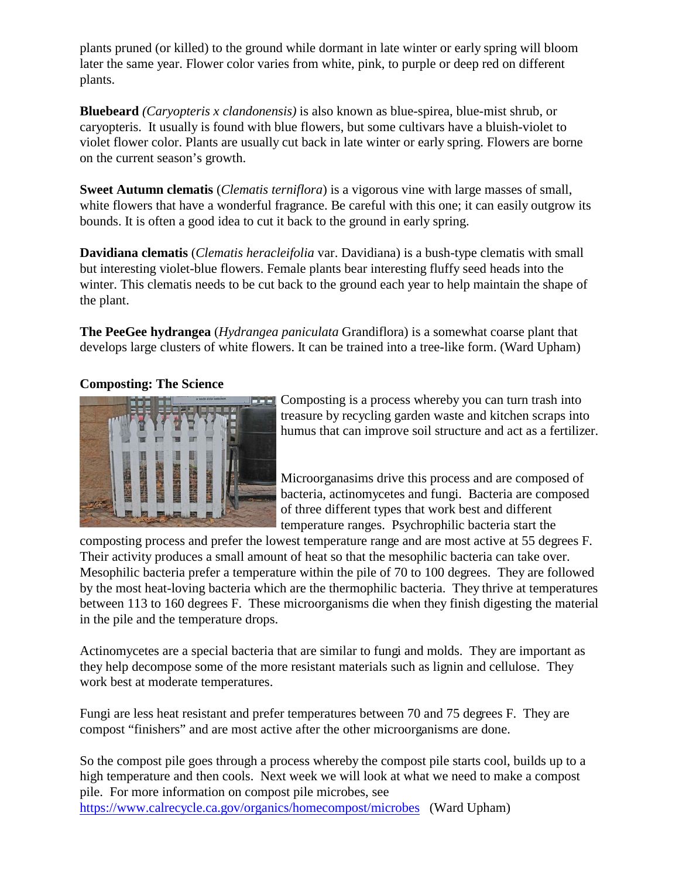plants pruned (or killed) to the ground while dormant in late winter or early spring will bloom later the same year. Flower color varies from white, pink, to purple or deep red on different plants.

**Bluebeard** *(Caryopteris x clandonensis)* is also known as blue-spirea, blue-mist shrub, or caryopteris. It usually is found with blue flowers, but some cultivars have a bluish-violet to violet flower color. Plants are usually cut back in late winter or early spring. Flowers are borne on the current season's growth.

**Sweet Autumn clematis** (*Clematis terniflora*) is a vigorous vine with large masses of small, white flowers that have a wonderful fragrance. Be careful with this one; it can easily outgrow its bounds. It is often a good idea to cut it back to the ground in early spring.

**Davidiana clematis** (*Clematis heracleifolia* var. Davidiana) is a bush-type clematis with small but interesting violet-blue flowers. Female plants bear interesting fluffy seed heads into the winter. This clematis needs to be cut back to the ground each year to help maintain the shape of the plant.

**The PeeGee hydrangea** (*Hydrangea paniculata* Grandiflora) is a somewhat coarse plant that develops large clusters of white flowers. It can be trained into a tree-like form. (Ward Upham)

### **Composting: The Science**



Composting is a process whereby you can turn trash into treasure by recycling garden waste and kitchen scraps into humus that can improve soil structure and act as a fertilizer.

Microorganasims drive this process and are composed of bacteria, actinomycetes and fungi. Bacteria are composed of three different types that work best and different temperature ranges. Psychrophilic bacteria start the

composting process and prefer the lowest temperature range and are most active at 55 degrees F. Their activity produces a small amount of heat so that the mesophilic bacteria can take over. Mesophilic bacteria prefer a temperature within the pile of 70 to 100 degrees. They are followed by the most heat-loving bacteria which are the thermophilic bacteria. They thrive at temperatures between 113 to 160 degrees F. These microorganisms die when they finish digesting the material in the pile and the temperature drops.

Actinomycetes are a special bacteria that are similar to fungi and molds. They are important as they help decompose some of the more resistant materials such as lignin and cellulose. They work best at moderate temperatures.

Fungi are less heat resistant and prefer temperatures between 70 and 75 degrees F. They are compost "finishers" and are most active after the other microorganisms are done.

So the compost pile goes through a process whereby the compost pile starts cool, builds up to a high temperature and then cools. Next week we will look at what we need to make a compost pile. For more information on compost pile microbes, see <https://www.calrecycle.ca.gov/organics/homecompost/microbes> (Ward Upham)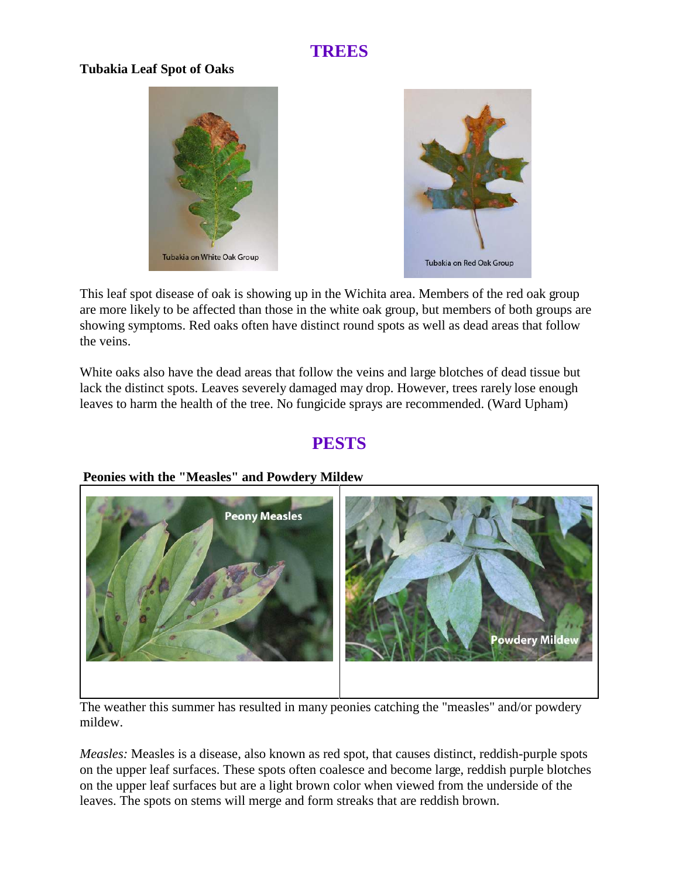# **TREES**

### **Tubakia Leaf Spot of Oaks**





This leaf spot disease of oak is showing up in the Wichita area. Members of the red oak group are more likely to be affected than those in the white oak group, but members of both groups are showing symptoms. Red oaks often have distinct round spots as well as dead areas that follow the veins.

White oaks also have the dead areas that follow the veins and large blotches of dead tissue but lack the distinct spots. Leaves severely damaged may drop. However, trees rarely lose enough leaves to harm the health of the tree. No fungicide sprays are recommended. (Ward Upham)

# **PESTS**



### **Peonies with the "Measles" and Powdery Mildew**

The weather this summer has resulted in many peonies catching the "measles" and/or powdery mildew.

*Measles:* Measles is a disease, also known as red spot, that causes distinct, reddish-purple spots on the upper leaf surfaces. These spots often coalesce and become large, reddish purple blotches on the upper leaf surfaces but are a light brown color when viewed from the underside of the leaves. The spots on stems will merge and form streaks that are reddish brown.